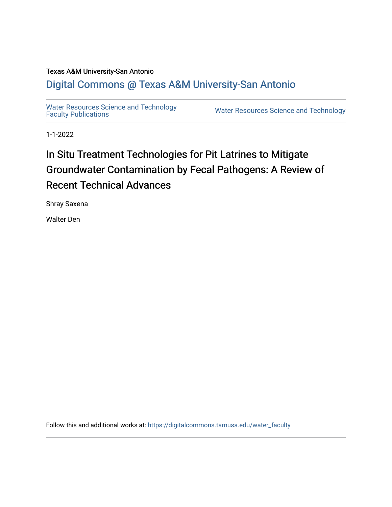## Texas A&M University-San Antonio

## [Digital Commons @ Texas A&M University-San Antonio](https://digitalcommons.tamusa.edu/)

[Water Resources Science and Technology](https://digitalcommons.tamusa.edu/water_faculty)<br>Faculty Publications

Water Resources Science and Technology

1-1-2022

# In Situ Treatment Technologies for Pit Latrines to Mitigate Groundwater Contamination by Fecal Pathogens: A Review of Recent Technical Advances

Shray Saxena

Walter Den

Follow this and additional works at: [https://digitalcommons.tamusa.edu/water\\_faculty](https://digitalcommons.tamusa.edu/water_faculty?utm_source=digitalcommons.tamusa.edu%2Fwater_faculty%2F12&utm_medium=PDF&utm_campaign=PDFCoverPages)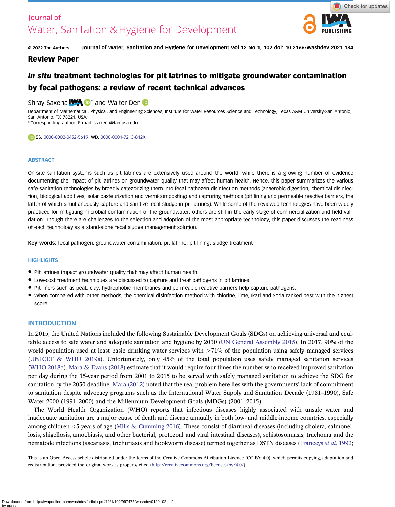## Journal of Water, Sanitation & Hygiene for Development



© 2022 The Authors Journal of Water, Sanitation and Hygiene for Development Vol 12 No 1, 102 doi: 10.2166/washdev.2021.184

### Review Paper

## In situ treatment technologies for pit latrines to mitigate groundwater contamination by fecal pathogens: a review of recent technical advances

### Shray Saxena **WA D**<sup>\*</sup> and Walter Den **D**

Department of Mathematical, Physical, and Engineering Sciences, Institute for Water Resources Science and Technology, Texas A&M University-San Antonio, San Antonio, TX 78224, USA \*Corresponding author. E-mail: [ssaxena@tamusa.edu](mailto:ssaxena@tamusa.edu)

#### SS, [0000-0002-0452-5619](http://orcid.org/0000-0002-0452-5619); WD, [0000-0001-7213-812X](http://orcid.org/0000-0001-7213-812X)

#### **ABSTRACT**

On-site sanitation systems such as pit latrines are extensively used around the world, while there is a growing number of evidence documenting the impact of pit latrines on groundwater quality that may affect human health. Hence, this paper summarizes the various safe-sanitation technologies by broadly categorizing them into fecal pathogen disinfection methods (anaerobic digestion, chemical disinfection, biological additives, solar pasteurization and vermicomposting) and capturing methods (pit lining and permeable reactive barriers, the latter of which simultaneously capture and sanitize fecal sludge in pit latrines). While some of the reviewed technologies have been widely practiced for mitigating microbial contamination of the groundwater, others are still in the early stage of commercialization and field validation. Though there are challenges to the selection and adoption of the most appropriate technology, this paper discusses the readiness of each technology as a stand-alone fecal sludge management solution.

Key words: fecal pathogen, groundwater contamination, pit latrine, pit lining, sludge treatment

#### **HIGHLIGHTS**

- Pit latrines impact groundwater quality that may affect human health.
- Low-cost treatment techniques are discussed to capture and treat pathogens in pit latrines.
- Pit liners such as peat, clay, hydrophobic membranes and permeable reactive barriers help capture pathogens.
- When compared with other methods, the chemical disinfection method with chlorine, lime, Ikati and Soda ranked best with the highest score.

#### **INTRODUCTION**

In 2015, the United Nations included the following Sustainable Development Goals (SDGs) on achieving universal and equitable access to safe water and adequate sanitation and hygiene by 2030 ([UN General Assembly 2015\)](#page-14-0). In 2017, 90% of the world population used at least basic drinking water services with  $>71\%$  of the population using safely managed services ([UNICEF & WHO 2019a](#page-14-0)). Unfortunately, only 45% of the total population uses safely managed sanitation services ([WHO 2018a](#page-14-0)). [Mara & Evans \(2018\)](#page-12-0) estimate that it would require four times the number who received improved sanitation per day during the 15-year period from 2001 to 2015 to be served with safely managed sanitation to achieve the SDG for sanitation by the 2030 deadline. [Mara \(2012\)](#page-12-0) noted that the real problem here lies with the governments' lack of commitment to sanitation despite advocacy programs such as the International Water Supply and Sanitation Decade (1981–1990), Safe Water 2000 (1991–2000) and the Millennium Development Goals (MDGs) (2001–2015).

The World Health Organization (WHO) reports that infectious diseases highly associated with unsafe water and inadequate sanitation are a major cause of death and disease annually in both low- and middle-income countries, especially among children  $\leq$ 5 years of age ([Mills & Cumming 2016](#page-12-0)). These consist of diarrheal diseases (including cholera, salmonellosis, shigellosis, amoebiasis, and other bacterial, protozoal and viral intestinal diseases), schistosomiasis, trachoma and the nematode infections (ascariasis, trichuriasis and hookworm disease) termed together as DSTN diseases [\(Franceys](#page-12-0) et al. 1992;

This is an Open Access article distributed under the terms of the Creative Commons Attribution Licence (CC BY 4.0), which permits copying, adaptation and redistribution, provided the original work is properly cited [\(http://creativecommons.org/licenses/by/4.0/](http://creativecommons.org/licenses/by/4.0/)).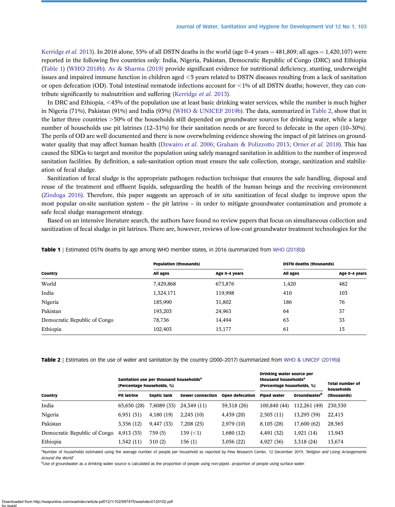[Kerridge](#page-12-0) et al. 2013). In 2016 alone, 55% of all DSTN deaths in the world (age 0–4 years = 481,809; all ages = 1,420,107) were reported in the following five countries only: India, Nigeria, Pakistan, Democratic Republic of Congo (DRC) and Ethiopia (Table 1) [\(WHO 2018b\)](#page-14-0). [Av & Sharma \(2019\)](#page-11-0) provide significant evidence for nutritional deficiency, stunting, underweight issues and impaired immune function in children aged  $<5$  years related to DSTN diseases resulting from a lack of sanitation or open defecation (OD). Total intestinal nematode infections account for  $\langle 1\%$  of all DSTN deaths; however, they can con-tribute significantly to malnutrition and suffering [\(Kerridge](#page-12-0) et al. 2013).

In DRC and Ethiopia, <45% of the population use at least basic drinking water services, while the number is much higher in Nigeria (71%), Pakistan (91%) and India (93%) [\(WHO & UNICEF 2019b\)](#page-14-0). The data, summarized in Table 2, show that in the latter three countries  $>50\%$  of the households still depended on groundwater sources for drinking water, while a large number of households use pit latrines (12–31%) for their sanitation needs or are forced to defecate in the open (10–30%). The perils of OD are well documented and there is now overwhelming evidence showing the impact of pit latrines on ground-water quality that may affect human health ([Dzwairo](#page-12-0) et al. 2006; [Graham & Polizzotto 2013;](#page-12-0) [Orner](#page-13-0) et al. 2018). This has caused the SDGs to target and monitor the population using safely managed sanitation in addition to the number of improved sanitation facilities. By definition, a safe-sanitation option must ensure the safe collection, storage, sanitization and stabilization of fecal sludge.

Sanitization of fecal sludge is the appropriate pathogen reduction technique that ensures the safe handling, disposal and reuse of the treatment and effluent liquids, safeguarding the health of the human beings and the receiving environment [\(Zindoga 2016\)](#page-14-0). Therefore, this paper suggests an approach of in situ sanitization of fecal sludge to improve upon the most popular on-site sanitation system – the pit latrine – in order to mitigate groundwater contamination and promote a safe fecal sludge management strategy.

Based on an intensive literature search, the authors have found no review papers that focus on simultaneous collection and sanitization of fecal sludge in pit latrines. There are, however, reviews of low-cost groundwater treatment technologies for the

|                              | <b>Population (thousands)</b> |               | <b>DSTN deaths (thousands)</b> |               |  |
|------------------------------|-------------------------------|---------------|--------------------------------|---------------|--|
| Country                      | All ages                      | Age 0-4 years | All ages                       | Age 0-4 years |  |
| World                        | 7,429,868                     | 673,876       | 1,420                          | 482           |  |
| India                        | 1,324,171                     | 119,998       | 410                            | 103           |  |
| Nigeria                      | 185,990                       | 31,802        | 186                            | 76            |  |
| Pakistan                     | 193,203                       | 24,963        | 64                             | 37            |  |
| Democratic Republic of Congo | 78,736                        | 14,494        | 63                             | 33            |  |
| Ethiopia                     | 102,403                       | 15,177        | 61                             | 15            |  |

Table 1 | Estimated DSTN deaths by age among WHO member states, in 2016 (summarized from [WHO \(2018b](#page-14-0)))

Table 2 | Estimates on the use of water and sanitation by the country (2000–2017) (summarized from [WHO & UNICEF \(2019b\)](#page-14-0))

|                              | Sanitation use per thousand households <sup>a</sup><br>(Percentage households, %) |                    |                         | Drinking water source per<br>thousand households <sup>a</sup><br>(Percentage households, %) |                    | <b>Total number of</b><br>households |             |
|------------------------------|-----------------------------------------------------------------------------------|--------------------|-------------------------|---------------------------------------------------------------------------------------------|--------------------|--------------------------------------|-------------|
| Country                      | <b>Pit latrine</b>                                                                | <b>Septic tank</b> | <b>Sewer connection</b> | Open defecation                                                                             | <b>Piped water</b> | Groundwater <sup>b</sup>             | (thousands) |
| India                        | 65,650 (28)                                                                       | 7,6089 (33)        | 24,349 (11)             | 59,318 (26)                                                                                 | 100,840 (44)       | 112,261 (49)                         | 230,530     |
| Nigeria                      | 6,951(31)                                                                         | 4,180(19)          | 2,245(10)               | 4,439(20)                                                                                   | 2,505(11)          | 13,295 (59)                          | 22,415      |
| Pakistan                     | 3,356 (12)                                                                        | 9,447 (33)         | 7,208(25)               | 2,979(10)                                                                                   | 8,105 (28)         | 17,600 (62)                          | 28,565      |
| Democratic Republic of Congo | 4,913(35)                                                                         | 759(5)             | 139 $(< 1)$             | 1,680(12)                                                                                   | 4,491 (32)         | 1,921(14)                            | 13,943      |
| Ethiopia                     | 1,542(11)                                                                         | 310(2)             | 156(1)                  | 3,056(22)                                                                                   | 4,927 (36)         | 3,318 (24)                           | 13,674      |

<sup>a</sup>Number of households estimated using the average number of people per household as reported by Pew Research Center, 12 December 2019, 'Religion and Living Arrangements Around the World'.

<sup>b</sup>Use of groundwater as a drinking water source is calculated as the proportion of people using non-piped–proportion of people using surface water.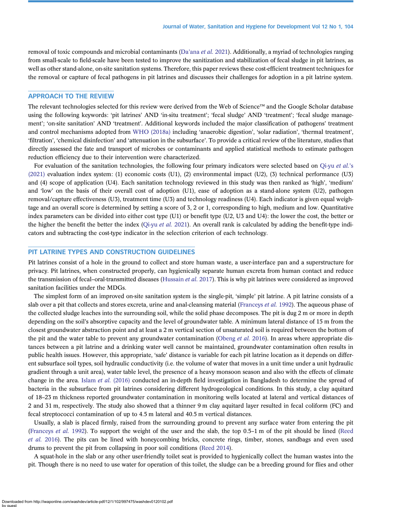removal of toxic compounds and microbial contaminants (Da'ana et al. [2021\)](#page-12-0). Additionally, a myriad of technologies ranging from small-scale to field-scale have been tested to improve the sanitization and stabilization of fecal sludge in pit latrines, as well as other stand-alone, on-site sanitation systems. Therefore, this paper reviews these cost-efficient treatment techniques for the removal or capture of fecal pathogens in pit latrines and discusses their challenges for adoption in a pit latrine system.

#### APPROACH TO THE REVIEW

The relevant technologies selected for this review were derived from the Web of Science™ and the Google Scholar database using the following keywords: 'pit latrines' AND 'in-situ treatment'; 'fecal sludge' AND 'treatment'; 'fecal sludge management'; 'on-site sanitation' AND 'treatment'. Additional keywords included the major classification of pathogens' treatment and control mechanisms adopted from [WHO \(2018a\)](#page-14-0) including 'anaerobic digestion', 'solar radiation', 'thermal treatment', 'filtration', 'chemical disinfection' and 'attenuation in the subsurface'. To provide a critical review of the literature, studies that directly assessed the fate and transport of microbes or contaminants and applied statistical methods to estimate pathogen reduction efficiency due to their intervention were characterized.

For evaluation of the sanitation technologies, the following four primary indicators were selected based on [Qi-yu](#page-13-0) et al.'s [\(2021\)](#page-13-0) evaluation index system: (1) economic costs (U1), (2) environmental impact (U2), (3) technical performance (U3) and (4) scope of application (U4). Each sanitation technology reviewed in this study was then ranked as 'high', 'medium' and 'low' on the basis of their overall cost of adoption (U1), ease of adoption as a stand-alone system (U2), pathogen removal/capture effectiveness (U3), treatment time (U3) and technology readiness (U4). Each indicator is given equal weightage and an overall score is determined by setting a score of 3, 2 or 1, corresponding to high, medium and low. Quantitative index parameters can be divided into either cost type (U1) or benefit type (U2, U3 and U4): the lower the cost, the better or the higher the benefit the better the index ([Qi-yu](#page-13-0) *et al.* 2021). An overall rank is calculated by adding the benefit-type indicators and subtracting the cost-type indicator in the selection criterion of each technology.

#### PIT LATRINE TYPES AND CONSTRUCTION GUIDELINES

Pit latrines consist of a hole in the ground to collect and store human waste, a user-interface pan and a superstructure for privacy. Pit latrines, when constructed properly, can hygienically separate human excreta from human contact and reduce the transmission of fecal–oral-transmitted diseases ([Hussain](#page-12-0) et al. 2017). This is why pit latrines were considered as improved sanitation facilities under the MDGs.

The simplest form of an improved on-site sanitation system is the single-pit, 'simple' pit latrine. A pit latrine consists of a slab over a pit that collects and stores excreta, urine and anal-cleansing material [\(Franceys](#page-12-0) et al. 1992). The aqueous phase of the collected sludge leaches into the surrounding soil, while the solid phase decomposes. The pit is dug 2 m or more in depth depending on the soil's absorptive capacity and the level of groundwater table. A minimum lateral distance of 15 m from the closest groundwater abstraction point and at least a 2 m vertical section of unsaturated soil is required between the bottom of the pit and the water table to prevent any groundwater contamination [\(Obeng](#page-13-0) *et al.* 2016). In areas where appropriate distances between a pit latrine and a drinking water well cannot be maintained, groundwater contamination often results in public health issues. However, this appropriate, 'safe' distance is variable for each pit latrine location as it depends on different subsurface soil types, soil hydraulic conductivity (i.e. the volume of water that moves in a unit time under a unit hydraulic gradient through a unit area), water table level, the presence of a heavy monsoon season and also with the effects of climate change in the area. Islam *et al.* [\(2016\)](#page-12-0) conducted an in-depth field investigation in Bangladesh to determine the spread of bacteria in the subsurface from pit latrines considering different hydrogeological conditions. In this study, a clay aquitard of 18–23 m thickness reported groundwater contamination in monitoring wells located at lateral and vertical distances of 2 and 31 m, respectively. The study also showed that a thinner 9 m clay aquitard layer resulted in fecal coliform (FC) and fecal streptococci contamination of up to 4.5 m lateral and 40.5 m vertical distances.

Usually, a slab is placed firmly, raised from the surrounding ground to prevent any surface water from entering the pit ([Franceys](#page-12-0) et al. 1992). To support the weight of the user and the slab, the top 0.5–1 m of the pit should be lined [\(Reed](#page-13-0) [et al.](#page-13-0) 2016). The pits can be lined with honeycombing bricks, concrete rings, timber, stones, sandbags and even used drums to prevent the pit from collapsing in poor soil conditions ([Reed 2014\)](#page-13-0).

A squat-hole in the slab or any other user-friendly toilet seat is provided to hygienically collect the human wastes into the pit. Though there is no need to use water for operation of this toilet, the sludge can be a breeding ground for flies and other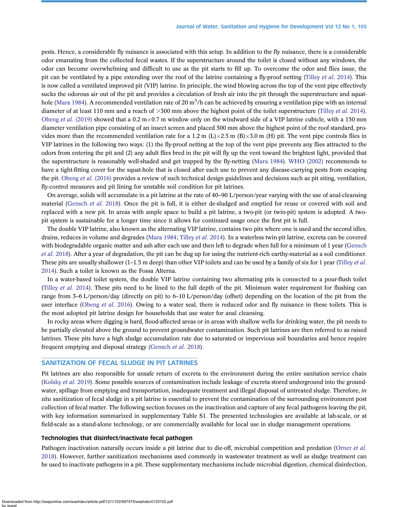pests. Hence, a considerable fly nuisance is associated with this setup. In addition to the fly nuisance, there is a considerable odor emanating from the collected fecal wastes. If the superstructure around the toilet is closed without any windows, the odor can become overwhelming and difficult to use as the pit starts to fill up. To overcome the odor and flies issue, the pit can be ventilated by a pipe extending over the roof of the latrine containing a fly-proof netting ([Tilley](#page-13-0) et al. 2014). This is now called a ventilated improved pit (VIP) latrine. In principle, the wind blowing across the top of the vent pipe effectively sucks the odorous air out of the pit and provides a circulation of fresh air into the pit through the superstructure and squat-hole ([Mara 1984](#page-12-0)). A recommended ventilation rate of 20 m $^{\rm 3/h}$  can be achieved by ensuring a ventilation pipe with an internal diameter of at least 110 mm and a reach of  $>300$  mm above the highest point of the toilet superstructure [\(Tilley](#page-13-0) *et al.* 2014). [Obeng](#page-13-0) et al. (2019) showed that a 0.2 m $\times$ 0.7 m window only on the windward side of a VIP latrine cubicle, with a 150 mm diameter ventilation pipe consisting of an insect screen and placed 500 mm above the highest point of the roof standard, provides more than the recommended ventilation rate for a 1.2 m (L) $\times$ 2.5 m (B) $\times$ 3.0 m (H) pit. The vent pipe controls flies in VIP latrines in the following two ways: (1) the fly-proof netting at the top of the vent pipe prevents any flies attracted to the odors from entering the pit and (2) any adult flies bred in the pit will fly up the vent toward the brightest light, provided that the superstructure is reasonably well-shaded and get trapped by the fly-netting [\(Mara 1984\)](#page-12-0). [WHO \(2002\)](#page-14-0) recommends to have a tight-fitting cover for the squat-hole that is closed after each use to prevent any disease-carrying pests from escaping the pit. [Obeng](#page-13-0) et al. (2016) provides a review of such technical design guidelines and decisions such as pit siting, ventilation, fly-control measures and pit lining for unstable soil condition for pit latrines.

On average, solids will accumulate in a pit latrine at the rate of 40–90 L/person/year varying with the use of anal-cleansing material [\(Gensch](#page-12-0) et al. 2018). Once the pit is full, it is either de-sludged and emptied for reuse or covered with soil and replaced with a new pit. In areas with ample space to build a pit latrine, a two-pit (or twin-pit) system is adopted. A twopit system is sustainable for a longer time since it allows for continued usage once the first pit is full.

The double VIP latrine, also known as the alternating VIP latrine, contains two pits where one is used and the second idles, drains, reduces in volume and degrades ([Mara 1984](#page-12-0); [Tilley](#page-13-0) et al. 2014). In a waterless twin-pit latrine, excreta can be covered with biodegradable organic matter and ash after each use and then left to degrade when full for a minimum of 1 year ([Gensch](#page-12-0) et al. [2018\)](#page-12-0). After a year of degradation, the pit can be dug up for using the nutrient-rich earthy-material as a soil conditioner. These pits are usually shallower  $(1-1.5 \text{ m}$  deep) than other VIP toilets and can be used by a family of six for 1 year [\(Tilley](#page-13-0) *et al.*) [2014\)](#page-13-0). Such a toilet is known as the Fossa Alterna.

In a water-based toilet system, the double VIP latrine containing two alternating pits is connected to a pour-flush toilet [\(Tilley](#page-13-0) et al. 2014). These pits need to be lined to the full depth of the pit. Minimum water requirement for flushing can range from 3–6 L/person/day (directly on pit) to 6–10 L/person/day (offset) depending on the location of the pit from the user interface [\(Obeng](#page-13-0) et al. 2016). Owing to a water seal, there is reduced odor and fly nuisance in these toilets. This is the most adopted pit latrine design for households that use water for anal cleansing.

In rocky areas where digging is hard, flood-affected areas or in areas with shallow wells for drinking water, the pit needs to be partially elevated above the ground to prevent groundwater contamination. Such pit latrines are then referred to as raised latrines. These pits have a high sludge accumulation rate due to saturated or impervious soil boundaries and hence require frequent emptying and disposal strategy [\(Gensch](#page-12-0) et al. 2018).

#### SANITIZATION OF FECAL SLUDGE IN PIT LATRINES

Pit latrines are also responsible for unsafe return of excreta to the environment during the entire sanitation service chain [\(Kolsky](#page-12-0) et al. 2019). Some possible sources of contamination include leakage of excreta stored underground into the groundwater, spillage from emptying and transportation, inadequate treatment and illegal disposal of untreated sludge. Therefore, *in* situ sanitization of fecal sludge in a pit latrine is essential to prevent the contamination of the surrounding environment post collection of fecal matter. The following section focuses on the inactivation and capture of any fecal pathogens leaving the pit, with key information summarized in supplementary Table S1. The presented technologies are available at lab-scale, or at field-scale as a stand-alone technology, or are commercially available for local use in sludge management operations.

#### Technologies that disinfect/inactivate fecal pathogen

Pathogen inactivation naturally occurs inside a pit latrine due to die-off, microbial competition and predation [\(Orner](#page-13-0) et al. [2018\)](#page-13-0). However, further sanitization mechanisms used commonly in wastewater treatment as well as sludge treatment can be used to inactivate pathogens in a pit. These supplementary mechanisms include microbial digestion, chemical disinfection,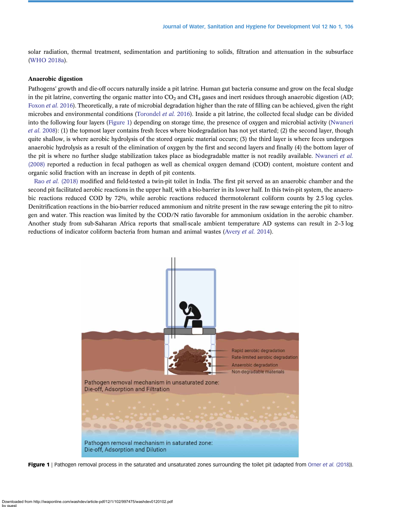solar radiation, thermal treatment, sedimentation and partitioning to solids, filtration and attenuation in the subsurface ([WHO 2018a\)](#page-14-0).

#### Anaerobic digestion

Pathogens' growth and die-off occurs naturally inside a pit latrine. Human gut bacteria consume and grow on the fecal sludge in the pit latrine, converting the organic matter into  $CO<sub>2</sub>$  and  $CH<sub>4</sub>$  gases and inert residues through anaerobic digestion (AD; [Foxon](#page-12-0) et al. 2016). Theoretically, a rate of microbial degradation higher than the rate of filling can be achieved, given the right microbes and environmental conditions [\(Torondel](#page-13-0) et al. 2016). Inside a pit latrine, the collected fecal sludge can be divided into the following four layers (Figure 1) depending on storage time, the presence of oxygen and microbial activity [\(Nwaneri](#page-13-0) et al. [2008\)](#page-13-0): (1) the topmost layer contains fresh feces where biodegradation has not yet started; (2) the second layer, though quite shallow, is where aerobic hydrolysis of the stored organic material occurs; (3) the third layer is where feces undergoes anaerobic hydrolysis as a result of the elimination of oxygen by the first and second layers and finally (4) the bottom layer of the pit is where no further sludge stabilization takes place as biodegradable matter is not readily available. [Nwaneri](#page-13-0) et al. [\(2008\)](#page-13-0) reported a reduction in fecal pathogen as well as chemical oxygen demand (COD) content, moisture content and organic solid fraction with an increase in depth of pit contents.

Rao et al. [\(2018\)](#page-13-0) modified and field-tested a twin-pit toilet in India. The first pit served as an anaerobic chamber and the second pit facilitated aerobic reactions in the upper half, with a bio-barrier in its lower half. In this twin-pit system, the anaerobic reactions reduced COD by 72%, while aerobic reactions reduced thermotolerant coliform counts by 2.5 log cycles. Denitrification reactions in the bio-barrier reduced ammonium and nitrite present in the raw sewage entering the pit to nitrogen and water. This reaction was limited by the COD/N ratio favorable for ammonium oxidation in the aerobic chamber. Another study from sub-Saharan Africa reports that small-scale ambient temperature AD systems can result in 2–3 log reductions of indicator coliform bacteria from human and animal wastes [\(Avery](#page-11-0) et al. 2014).



Figure 1 | Pathogen removal process in the saturated and unsaturated zones surrounding the toilet pit (adapted from [Orner](#page-13-0) et al. (2018)).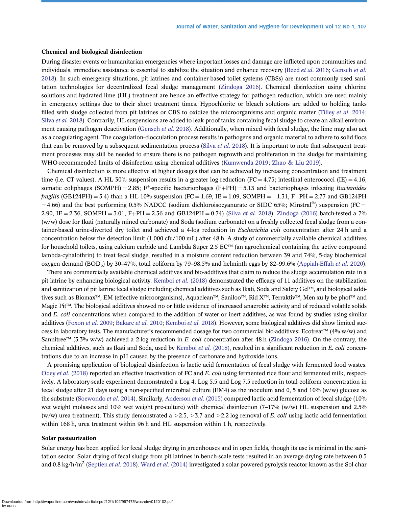#### Chemical and biological disinfection

During disaster events or humanitarian emergencies where important losses and damage are inflicted upon communities and individuals, immediate assistance is essential to stabilize the situation and enhance recovery [\(Reed](#page-13-0) et al. 2016; [Gensch](#page-12-0) et al. [2018\)](#page-12-0). In such emergency situations, pit latrines and container-based toilet systems (CBSs) are most commonly used sanitation technologies for decentralized fecal sludge management [\(Zindoga 2016](#page-14-0)). Chemical disinfection using chlorine solutions and hydrated lime (HL) treatment are hence an effective strategy for pathogen reduction, which are used mainly in emergency settings due to their short treatment times. Hypochlorite or bleach solutions are added to holding tanks filled with sludge collected from pit latrines or CBS to oxidize the microorganisms and organic matter [\(Tilley](#page-13-0) *et al.* 2014; [Silva](#page-13-0) et al. 2018). Contrarily, HL suspensions are added to leak-proof tanks containing fecal sludge to create an alkali environ-ment causing pathogen deactivation ([Gensch](#page-12-0) et al. 2018). Additionally, when mixed with fecal sludge, the lime may also act as a coagulating agent. The coagulation–flocculation process results in pathogens and organic material to adhere to solid flocs that can be removed by a subsequent sedimentation process [\(Silva](#page-13-0) et al. 2018). It is important to note that subsequent treatment processes may still be needed to ensure there is no pathogen regrowth and proliferation in the sludge for maintaining WHO-recommended limits of disinfection using chemical additives ([Kumwenda 2019](#page-12-0); [Zhao & Liu 2019](#page-14-0)).

Chemical disinfection is more effective at higher dosages that can be achieved by increasing concentration and treatment time (i.e. CT values). A HL 30% suspension results in a greater log reduction (FC = 4.75; intestinal enterococci (IE) = 4.16; somatic coliphages (SOMPH) = 2.85; F<sup>+</sup>-specific bacteriophages (F+PH) = 5.13 and bacteriophages infecting Bacteroides *fragilis* (GB124PH) = 5.4) than a HL 10% suspension (FC = 1.69, IE = 1.09, SOMPH =  $-1.31$ , F+PH = 2.77 and GB124PH  $=$  4.66) and the best performing 0.5% NADCC (sodium dichloroisocyanurate or SIDC 65%; Minstral®) suspension (FC  $=$ 2.90, IE = 2.36, SOMPH = 3.01, F+PH = 2.36 and GB124PH = 0.74) (Silva [et al.](#page-13-0) 2018). [Zindoga \(2016\)](#page-14-0) batch-tested a 7% (w/w) dose for Ikati (naturally mined carbonate) and Soda (sodium carbonate) on a freshly collected fecal sludge from a container-based urine-diverted dry toilet and achieved a 4-log reduction in *Escherichia coli* concentration after 24 h and a concentration below the detection limit (1,000 cfu/100 mL) after 48 h. A study of commercially available chemical additives for household toilets, using calcium carbide and Lambda Super 2.5  $EC^{rM}$  (an agrochemical containing the active compound lambda-cyhalothrin) to treat fecal sludge, resulted in a moisture content reduction between 39 and 74%, 5-day biochemical oxygen demand (BOD<sub>5</sub>) by 30-47%, total coliform by 79-98.5% and helminth eggs by 82-99.6% ([Appiah-Effah](#page-11-0) et al. 2020).

There are commercially available chemical additives and bio-additives that claim to reduce the sludge accumulation rate in a pit latrine by enhancing biological activity. [Kemboi](#page-12-0) et al. (2018) demonstrated the efficacy of 11 additives on the stabilization and sanitization of pit latrine fecal sludge including chemical additives such as Ikati, Soda and Safety Gel™, and biological additives such as Biomax™, EM (effective microorganisms), Aquaclean™, Saniloo™, Rid X™, Terraktiv™, Men xu ly be phot™ and Magic Pit™. The biological additives showed no or little evidence of increased anaerobic activity and of reduced volatile solids and E. coli concentrations when compared to the addition of water or inert additives, as was found by studies using similar additives ([Foxon](#page-12-0) et al. 2009; [Bakare](#page-11-0) et al. 2010; [Kemboi](#page-12-0) et al. 2018). However, some biological additives did show limited success in laboratory tests. The manufacturer's recommended dosage for two commercial bio-additives: Ecotreat™ (4% w/w) and Sannitree<sup>™</sup> (3.3% w/w) achieved a 2-log reduction in E. coli concentration after 48 h ([Zindoga 2016](#page-14-0)). On the contrary, the chemical additives, such as Ikati and Soda, used by [Kemboi](#page-12-0) et al. (2018), resulted in a significant reduction in E. coli concentrations due to an increase in pH caused by the presence of carbonate and hydroxide ions.

A promising application of biological disinfection is lactic acid fermentation of fecal sludge with fermented food wastes. Odey et al. [\(2018\)](#page-13-0) reported an effective inactivation of FC and E. coli using fermented rice flour and fermented milk, respectively. A laboratory-scale experiment demonstrated a Log 4, Log 5.5 and Log 7.5 reduction in total coliform concentration in fecal sludge after 21 days using a non-specified microbial culture (EM4) as the inoculum and 0, 5 and 10% (w/w) glucose as the substrate [\(Soewondo](#page-13-0) *et al.* 2014). Similarly, [Anderson](#page-11-0) *et al.* (2015) compared lactic acid fermentation of fecal sludge (10%) wet weight molasses and 10% wet weight pre-culture) with chemical disinfection (7–17% (w/w) HL suspension and 2.5% (w/w) urea treatment). This study demonstrated a  $>2.5$ ,  $>3.7$  and  $>2.2$  log removal of E. coli using lactic acid fermentation within 168 h, urea treatment within 96 h and HL suspension within 1 h, respectively.

#### Solar pasteurization

Solar energy has been applied for fecal sludge drying in greenhouses and in open fields, though its use is minimal in the sanitation sector. Solar drying of fecal sludge from pit latrines in bench-scale tests resulted in an average drying rate between 0.5 and 0.8 kg/h/m<sup>2</sup> ([Septien](#page-13-0) et al. 2018). Ward et al. [\(2014\)](#page-14-0) investigated a solar-powered pyrolysis reactor known as the Sol-char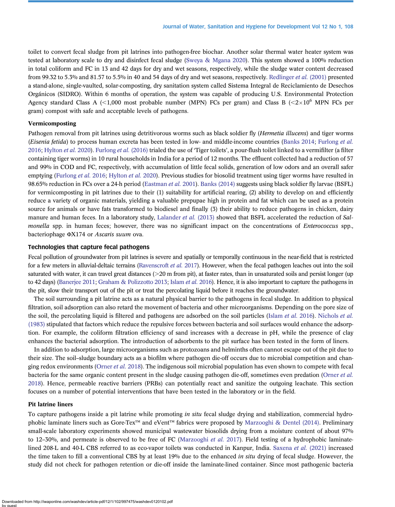toilet to convert fecal sludge from pit latrines into pathogen-free biochar. Another solar thermal water heater system was tested at laboratory scale to dry and disinfect fecal sludge [\(Sweya & Mgana 2020](#page-13-0)). This system showed a 100% reduction in total coliform and FC in 13 and 42 days for dry and wet seasons, respectively, while the sludge water content decreased from 99.32 to 5.3% and 81.57 to 5.5% in 40 and 54 days of dry and wet seasons, respectively. [Redlinger](#page-13-0) et al. (2001) presented a stand-alone, single-vaulted, solar-composting, dry sanitation system called Sistema Integral de Reciclamiento de Desechos Orgánicos (SIDRO). Within 6 months of operation, the system was capable of producing U.S. Environmental Protection Agency standard Class A (<1,000 most probable number (MPN) FCs per gram) and Class B ( $\leq 2 \times 10^6$  MPN FCs per gram) compost with safe and acceptable levels of pathogens.

#### Vermicomposting

Pathogen removal from pit latrines using detritivorous worms such as black soldier fly (*Hermetia illucens*) and tiger worms (Eisenia fetida) to process human excreta has been tested in low- and middle-income countries [\(Banks 2014](#page-12-0); [Furlong](#page-12-0) et al. [2016](#page-12-0); [Hylton](#page-12-0) et al. 2020). [Furlong](#page-12-0) et al. (2016) trialed the use of 'Tiger toilets', a pour-flush toilet linked to a vermifilter (a filter containing tiger worms) in 10 rural households in India for a period of 12 months. The effluent collected had a reduction of 57 and 99% in COD and FC, respectively, with accumulation of little fecal solids, generation of low odors and an overall safer emptying [\(Furlong](#page-12-0) et al. 2016; [Hylton](#page-12-0) et al. 2020). Previous studies for biosolid treatment using tiger worms have resulted in 98.65% reduction in FCs over a 24-h period ([Eastman](#page-12-0) *et al.* 2001). [Banks \(2014\)](#page-12-0) suggests using black soldier fly larvae (BSFL) for vermicomposting in pit latrines due to their (1) suitability for artificial rearing, (2) ability to develop on and efficiently reduce a variety of organic materials, yielding a valuable prepupae high in protein and fat which can be used as a protein source for animals or have fats transformed to biodiesel and finally (3) their ability to reduce pathogens in chicken, dairy manure and human feces. In a laboratory study, [Lalander](#page-12-0) et al. (2013) showed that BSFL accelerated the reduction of Salmonella spp. in human feces; however, there was no significant impact on the concentrations of *Enterococcus* spp., bacteriophage ΦX174 or Ascaris suum ova.

#### Technologies that capture fecal pathogens

Fecal pollution of groundwater from pit latrines is severe and spatially or temporally continuous in the near-field that is restricted for a few meters in alluvial-deltaic terrains [\(Ravenscroft](#page-13-0) *et al.* 2017). However, when the fecal pathogen leaches out into the soil saturated with water, it can travel great distances  $(>=20 \text{ m from pit})$ , at faster rates, than in unsaturated soils and persist longer (up to 42 days) [\(Banerjee 2011;](#page-11-0) [Graham & Polizzotto 2013;](#page-12-0) [Islam](#page-12-0) et al. 2016). Hence, it is also important to capture the pathogens in the pit, slow their transport out of the pit or treat the percolating liquid before it reaches the groundwater.

The soil surrounding a pit latrine acts as a natural physical barrier to the pathogens in fecal sludge. In addition to physical filtration, soil adsorption can also retard the movement of bacteria and other microorganisms. Depending on the pore size of the soil, the percolating liquid is filtered and pathogens are adsorbed on the soil particles [\(Islam](#page-12-0) *et al.* 2016). [Nichols](#page-13-0) *et al.* [\(1983\)](#page-13-0) stipulated that factors which reduce the repulsive forces between bacteria and soil surfaces would enhance the adsorption. For example, the coliform filtration efficiency of sand increases with a decrease in pH, while the presence of clay enhances the bacterial adsorption. The introduction of adsorbents to the pit surface has been tested in the form of liners.

In addition to adsorption, large microorganisms such as protozoans and helminths often cannot escape out of the pit due to their size. The soil–sludge boundary acts as a biofilm where pathogen die-off occurs due to microbial competition and chan-ging redox environments ([Orner](#page-13-0) *et al.* 2018). The indigenous soil microbial population has even shown to compete with fecal bacteria for the same organic content present in the sludge causing pathogen die-off, sometimes even predation ([Orner](#page-13-0) et al. [2018](#page-13-0)). Hence, permeable reactive barriers (PRBs) can potentially react and sanitize the outgoing leachate. This section focuses on a number of potential interventions that have been tested in the laboratory or in the field.

#### Pit latrine liners

To capture pathogens inside a pit latrine while promoting *in situ* fecal sludge drying and stabilization, commercial hydro-phobic laminate liners such as Gore-Tex™ and eVent™ fabrics were proposed by [Marzooghi & Dentel \(2014\).](#page-12-0) Preliminary small-scale laboratory experiments showed municipal wastewater biosolids drying from a moisture content of about 97% to 12–30%, and permeate is observed to be free of FC ([Marzooghi](#page-12-0) *et al.* 2017). Field testing of a hydrophobic laminatelined 208-L and 40-L CBS referred to as eco-vapor toilets was conducted in Kanpur, India. [Saxena](#page-13-0) et al. (2021) increased the time taken to fill a conventional CBS by at least 19% due to the enhanced in situ drying of fecal sludge. However, the study did not check for pathogen retention or die-off inside the laminate-lined container. Since most pathogenic bacteria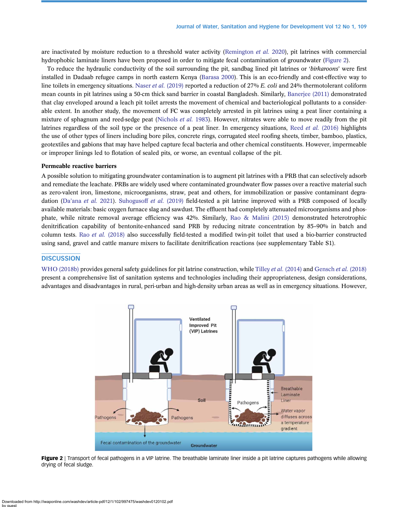are inactivated by moisture reduction to a threshold water activity [\(Remington](#page-13-0) et al. 2020), pit latrines with commercial hydrophobic laminate liners have been proposed in order to mitigate fecal contamination of groundwater (Figure 2).

To reduce the hydraulic conductivity of the soil surrounding the pit, sandbag lined pit latrines or 'birkaroons' were first installed in Dadaab refugee camps in north eastern Kenya ([Barasa 2000\)](#page-12-0). This is an eco-friendly and cost-effective way to line toilets in emergency situations. Naser *et al.* [\(2019\)](#page-13-0) reported a reduction of 27% E. coli and 24% thermotolerant coliform mean counts in pit latrines using a 50-cm thick sand barrier in coastal Bangladesh. Similarly, [Banerjee \(2011\)](#page-11-0) demonstrated that clay enveloped around a leach pit toilet arrests the movement of chemical and bacteriological pollutants to a considerable extent. In another study, the movement of FC was completely arrested in pit latrines using a peat liner containing a mixture of sphagnum and reed-sedge peat ([Nichols](#page-13-0) et al. 1983). However, nitrates were able to move readily from the pit latrines regardless of the soil type or the presence of a peat liner. In emergency situations, Reed *et al.* [\(2016\)](#page-13-0) highlights the use of other types of liners including bore piles, concrete rings, corrugated steel roofing sheets, timber, bamboo, plastics, geotextiles and gabions that may have helped capture fecal bacteria and other chemical constituents. However, impermeable or improper linings led to flotation of sealed pits, or worse, an eventual collapse of the pit.

#### Permeable reactive barriers

A possible solution to mitigating groundwater contamination is to augment pit latrines with a PRB that can selectively adsorb and remediate the leachate. PRBs are widely used where contaminated groundwater flow passes over a reactive material such as zero-valent iron, limestone, microorganisms, straw, peat and others, for immobilization or passive contaminant degradation (Da'ana [et al.](#page-12-0) 2021). [Suhogusoff](#page-13-0) et al. (2019) field-tested a pit latrine improved with a PRB composed of locally available materials: basic oxygen furnace slag and sawdust. The effluent had completely attenuated microorganisms and phosphate, while nitrate removal average efficiency was 42%. Similarly, [Rao & Malini \(2015\)](#page-13-0) demonstrated heterotrophic denitrification capability of bentonite-enhanced sand PRB by reducing nitrate concentration by 85–90% in batch and column tests. Rao et al. [\(2018\)](#page-13-0) also successfully field-tested a modified twin-pit toilet that used a bio-barrier constructed using sand, gravel and cattle manure mixers to facilitate denitrification reactions (see supplementary Table S1).

#### **DISCUSSION**

[WHO \(2018b\)](#page-14-0) provides general safety guidelines for pit latrine construction, while Tilley *et al.* [\(2014\)](#page-13-0) and [Gensch](#page-12-0) *et al.* (2018) present a comprehensive list of sanitation systems and technologies including their appropriateness, design considerations, advantages and disadvantages in rural, peri-urban and high-density urban areas as well as in emergency situations. However,



Figure 2 | Transport of fecal pathogens in a VIP latrine. The breathable laminate liner inside a pit latrine captures pathogens while allowing drying of fecal sludge.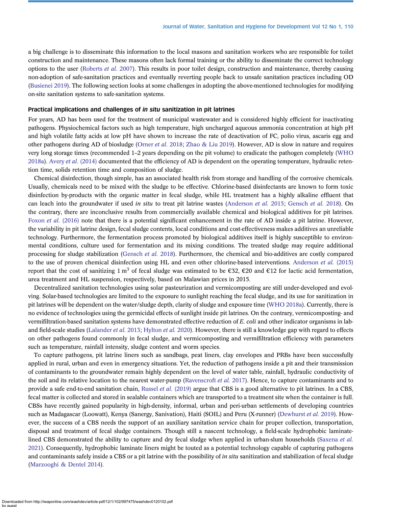a big challenge is to disseminate this information to the local masons and sanitation workers who are responsible for toilet construction and maintenance. These masons often lack formal training or the ability to disseminate the correct technology options to the user [\(Roberts](#page-13-0) et al. 2007). This results in poor toilet design, construction and maintenance, thereby causing non-adoption of safe-sanitation practices and eventually reverting people back to unsafe sanitation practices including OD ([Busienei 2019\)](#page-12-0). The following section looks at some challenges in adopting the above-mentioned technologies for modifying on-site sanitation systems to safe-sanitation systems.

#### Practical implications and challenges of in situ sanitization in pit latrines

For years, AD has been used for the treatment of municipal wastewater and is considered highly efficient for inactivating pathogens. Physiochemical factors such as high temperature, high uncharged aqueous ammonia concentration at high pH and high volatile fatty acids at low pH have shown to increase the rate of deactivation of FC, polio virus, ascaris egg and other pathogens during AD of biosludge [\(Orner](#page-13-0) *et al.* 2018; [Zhao & Liu 2019\)](#page-14-0). However, AD is slow in nature and requires very long storage times (recommended 1–2 years depending on the pit volume) to eradicate the pathogen completely ([WHO](#page-14-0) [2018a\)](#page-14-0). Avery *et al.* [\(2014\)](#page-11-0) documented that the efficiency of AD is dependent on the operating temperature, hydraulic retention time, solids retention time and composition of sludge.

Chemical disinfection, though simple, has an associated health risk from storage and handling of the corrosive chemicals. Usually, chemicals need to be mixed with the sludge to be effective. Chlorine-based disinfectants are known to form toxic disinfection by-products with the organic matter in fecal sludge, while HL treatment has a highly alkaline effluent that can leach into the groundwater if used in situ to treat pit latrine wastes ([Anderson](#page-11-0) et al. 2015; [Gensch](#page-12-0) et al. 2018). On the contrary, there are inconclusive results from commercially available chemical and biological additives for pit latrines. Foxon et al. [\(2016\)](#page-12-0) note that there is a potential significant enhancement in the rate of AD inside a pit latrine. However, the variability in pit latrine design, fecal sludge contents, local conditions and cost-effectiveness makes additives an unreliable technology. Furthermore, the fermentation process promoted by biological additives itself is highly susceptible to environmental conditions, culture used for fermentation and its mixing conditions. The treated sludge may require additional processing for sludge stabilization [\(Gensch](#page-12-0) et al. 2018). Furthermore, the chemical and bio-additives are costly compared to the use of proven chemical disinfection using HL and even other chlorine-based interventions. [Anderson](#page-11-0) et al. (2015) report that the cost of sanitizing 1 m<sup>3</sup> of fecal sludge was estimated to be  $\epsilon$ 32,  $\epsilon$ 20 and  $\epsilon$ 12 for lactic acid fermentation, urea treatment and HL suspension, respectively, based on Malawian prices in 2015.

Decentralized sanitation technologies using solar pasteurization and vermicomposting are still under-developed and evolving. Solar-based technologies are limited to the exposure to sunlight reaching the fecal sludge, and its use for sanitization in pit latrines will be dependent on the water/sludge depth, clarity of sludge and exposure time ([WHO 2018a](#page-14-0)). Currently, there is no evidence of technologies using the germicidal effects of sunlight inside pit latrines. On the contrary, vermicomposting- and vermifiltration-based sanitation systems have demonstrated effective reduction of E. coli and other indicator organisms in lab-and field-scale studies [\(Lalander](#page-12-0) et al. 2013; [Hylton](#page-12-0) et al. 2020). However, there is still a knowledge gap with regard to effects on other pathogens found commonly in fecal sludge, and vermicomposting and vermifiltration efficiency with parameters such as temperature, rainfall intensity, sludge content and worm species.

To capture pathogens, pit latrine liners such as sandbags, peat liners, clay envelopes and PRBs have been successfully applied in rural, urban and even in emergency situations. Yet, the reduction of pathogens inside a pit and their transmission of contaminants to the groundwater remain highly dependent on the level of water table, rainfall, hydraulic conductivity of the soil and its relative location to the nearest water-pump [\(Ravenscroft](#page-13-0) et al. 2017). Hence, to capture contaminants and to provide a safe end-to-end sanitation chain, [Russel](#page-13-0) et al. (2019) argue that CBS is a good alternative to pit latrines. In a CBS, fecal matter is collected and stored in sealable containers which are transported to a treatment site when the container is full. CBSs have recently gained popularity in high-density, informal, urban and peri-urban settlements of developing countries such as Madagascar (Loowatt), Kenya (Sanergy, Sanivation), Haiti (SOIL) and Peru (X-runner) ([Dewhurst](#page-12-0) et al. 2019). However, the success of a CBS needs the support of an auxiliary sanitation service chain for proper collection, transportation, disposal and treatment of fecal sludge containers. Though still a nascent technology, a field-scale hydrophobic laminate-lined CBS demonstrated the ability to capture and dry fecal sludge when applied in urban-slum households ([Saxena](#page-13-0) et al. [2021](#page-13-0)). Consequently, hydrophobic laminate liners might be touted as a potential technology capable of capturing pathogens and contaminants safely inside a CBS or a pit latrine with the possibility of *in situ* sanitization and stabilization of fecal sludge ([Marzooghi & Dentel 2014](#page-12-0)).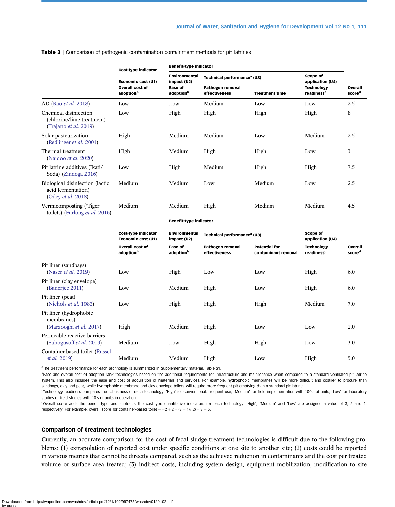|                                                                             | Cost-type indicator<br>Economic cost (U1)<br><b>Overall cost of</b><br>adoption <sup>b</sup> | <b>Benefit-type indicator</b>                                                  |                                          |                                             |                                             |                               |  |
|-----------------------------------------------------------------------------|----------------------------------------------------------------------------------------------|--------------------------------------------------------------------------------|------------------------------------------|---------------------------------------------|---------------------------------------------|-------------------------------|--|
|                                                                             |                                                                                              | <b>Environmental</b><br>impact (U2)<br><b>Ease of</b><br>adoption <sup>b</sup> | Technical performance <sup>a</sup> (U3)  | Scope of<br>application (U4)                |                                             |                               |  |
|                                                                             |                                                                                              |                                                                                | <b>Pathogen removal</b><br>effectiveness | <b>Treatment time</b>                       | <b>Technology</b><br>readiness <sup>c</sup> | Overall<br>score <sup>d</sup> |  |
| AD (Rao et al. 2018)                                                        | Low                                                                                          | Low                                                                            | Medium                                   | Low                                         | Low                                         | 2.5                           |  |
| Chemical disinfection<br>(chlorine/lime treatment)<br>(Trajano et al. 2019) | Low                                                                                          | High                                                                           | High                                     | High                                        | High                                        | 8                             |  |
| Solar pasteurization<br>(Redlinger et al. 2001)                             | High                                                                                         | Medium                                                                         | Medium                                   | Low                                         | Medium                                      | 2.5                           |  |
| Thermal treatment<br>(Naidoo et al. 2020)                                   | High                                                                                         | Medium                                                                         | High                                     | High                                        | Low                                         | 3                             |  |
| Pit latrine additives (Ikati/<br>Soda) (Zindoga 2016)                       | Low                                                                                          | High                                                                           | Medium                                   | High                                        | High                                        | 7.5                           |  |
| Biological disinfection (lactic<br>acid fermentation)<br>(Odey et al. 2018) | Medium                                                                                       | Medium                                                                         | Low                                      | Medium                                      | Low                                         | 2.5                           |  |
| Vermicomposting ('Tiger'<br>toilets) (Furlong et al. 2016)                  | Medium                                                                                       | Medium                                                                         | High                                     | Medium                                      | Medium                                      | 4.5                           |  |
|                                                                             |                                                                                              | <b>Benefit-type indicator</b>                                                  |                                          |                                             |                                             |                               |  |
|                                                                             | <b>Cost-type indicator</b><br>Economic cost (U1)                                             | Environmental<br>impact (U2)                                                   | Technical performance <sup>a</sup> (U3)  |                                             | Scope of<br>application (U4)                |                               |  |
|                                                                             | <b>Overall cost of</b><br>adoption <sup>b</sup>                                              | Ease of<br>adoption <sup>b</sup>                                               | <b>Pathogen removal</b><br>effectiveness | <b>Potential for</b><br>contaminant removal | <b>Technology</b><br>readiness <sup>c</sup> | Overall<br>score <sup>d</sup> |  |
| Pit liner (sandbags)<br>(Naser <i>et al.</i> 2019)                          | Low                                                                                          | High                                                                           | Low                                      | Low                                         | High                                        | 6.0                           |  |
| Pit liner (clay envelope)<br>(Banerjee 2011)                                | Low                                                                                          | Medium                                                                         | High                                     | Low                                         | High                                        | 6.0                           |  |
| Pit liner (peat)<br>(Nichols <i>et al.</i> 1983)                            | Low                                                                                          | High                                                                           | High                                     | High                                        | Medium                                      | 7.0                           |  |
| Pit liner (hydrophobic<br>membranes)<br>(Marzooghi et al. 2017)             | High                                                                                         | Medium                                                                         | High                                     | Low                                         | Low                                         | 2.0                           |  |
| Permeable reactive barriers<br>(Suhogus of et al. 2019)                     | Medium                                                                                       | Low                                                                            | High                                     | High                                        | Low                                         | 3.0                           |  |
| Container-based toilet (Russel<br><i>et al.</i> 2019)                       | Medium                                                                                       | Medium                                                                         | High                                     | Low                                         | High                                        | 5.0                           |  |

<span id="page-10-0"></span>Table 3 | Comparison of pathogenic contamination containment methods for pit latrines

<sup>a</sup>The treatment performance for each technology is summarized in Supplementary material, Table S1.

<sup>b</sup>Ease and overall cost of adoption rank technologies based on the additional requirements for infrastructure and maintenance when compared to a standard ventilated pit latrine system. This also includes the ease and cost of acquisition of materials and services. For example, hydrophobic membranes will be more difficult and costlier to procure than sandbags, clay and peat, while hydrophobic membrane and clay envelope toilets will require more frequent pit emptying than a standard pit latrine.

c Technology readiness compares the robustness of each technology; 'High' for conventional, frequent use, 'Medium' for field implementation with 100 s of units, 'Low' for laboratory studies or field studies with 10 s of units in operation.

<sup>d</sup>Overall score adds the benefit-type and subtracts the cost-type quantitative indicators for each technology. 'High', 'Medium' and 'Low' are assigned a value of 3, 2 and 1, respectively. For example, overall score for container-based toilet  $= -2 + 2 + (3 + 1)/(2) + 3 = 5$ .

#### Comparison of treatment technologies

Currently, an accurate comparison for the cost of fecal sludge treatment technologies is difficult due to the following problems: (1) extrapolation of reported cost under specific conditions at one site to another site; (2) costs could be reported in various metrics that cannot be directly compared, such as the achieved reduction in contaminants and the cost per treated volume or surface area treated; (3) indirect costs, including system design, equipment mobilization, modification to site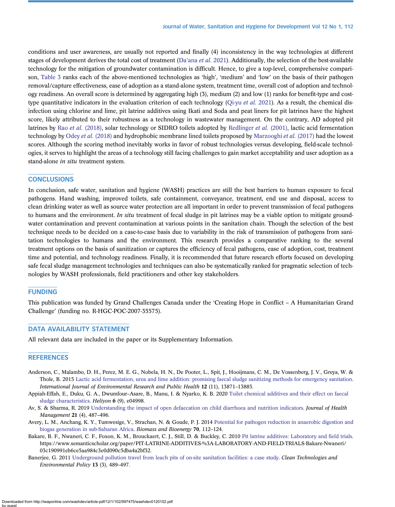<span id="page-11-0"></span>conditions and user awareness, are usually not reported and finally (4) inconsistency in the way technologies at different stages of development derives the total cost of treatment (Da'ana *[et al.](#page-12-0)* 2021). Additionally, the selection of the best-available technology for the mitigation of groundwater contamination is difficult. Hence, to give a top-level, comprehensive comparison, [Table 3](#page-10-0) ranks each of the above-mentioned technologies as 'high', 'medium' and 'low' on the basis of their pathogen removal/capture effectiveness, ease of adoption as a stand-alone system, treatment time, overall cost of adoption and technology readiness. An overall score is determined by aggregating high (3), medium (2) and low (1) ranks for benefit-type and cost-type quantitative indicators in the evaluation criterion of each technology ([Qi-yu](#page-13-0) *et al.* 2021). As a result, the chemical disinfection using chlorine and lime, pit latrine additives using Ikati and Soda and peat liners for pit latrines have the highest score, likely attributed to their robustness as a technology in wastewater management. On the contrary, AD adopted pit latrines by Rao et al. [\(2018\),](#page-13-0) solar technology or SIDRO toilets adopted by [Redlinger](#page-13-0) et al. (2001), lactic acid fermentation technology by Odey et al. [\(2018\)](#page-13-0) and hydrophobic membrane lined toilets proposed by [Marzooghi](#page-12-0) et al. (2017) had the lowest scores. Although the scoring method inevitably works in favor of robust technologies versus developing, field-scale technologies, it serves to highlight the areas of a technology still facing challenges to gain market acceptability and user adoption as a stand-alone in situ treatment system.

#### **CONCLUSIONS**

In conclusion, safe water, sanitation and hygiene (WASH) practices are still the best barriers to human exposure to fecal pathogens. Hand washing, improved toilets, safe containment, conveyance, treatment, end use and disposal, access to clean drinking water as well as source water protection are all important in order to prevent transmission of fecal pathogens to humans and the environment. In situ treatment of fecal sludge in pit latrines may be a viable option to mitigate groundwater contamination and prevent contamination at various points in the sanitation chain. Though the selection of the best technique needs to be decided on a case-to-case basis due to variability in the risk of transmission of pathogens from sanitation technologies to humans and the environment. This research provides a comparative ranking to the several treatment options on the basis of sanitization or captures the efficiency of fecal pathogens, ease of adoption, cost, treatment time and potential, and technology readiness. Finally, it is recommended that future research efforts focused on developing safe fecal sludge management technologies and techniques can also be systematically ranked for pragmatic selection of technologies by WASH professionals, field practitioners and other key stakeholders.

#### FUNDING

This publication was funded by Grand Challenges Canada under the 'Creating Hope in Conflict – A Humanitarian Grand Challenge' (funding no. R-HGC-POC-2007-35575).

### DATA AVAILABILITY STATEMENT

All relevant data are included in the paper or its Supplementary Information.

#### **REFERENCES**

- Anderson, C., Malambo, D. H., Perez, M. E. G., Nobela, H. N., De Pooter, L., Spit, J., Hooijmans, C. M., De Vossenberg, J. V., Greya, W. & Thole, B. 2015 [Lactic acid fermentation, urea and lime addition: promising faecal sludge sanitizing methods for emergency sanitation](http://dx.doi.org/10.3390/ijerph121113871). International Journal of Environmental Research and Public Health 12 (11), 13871–13885.
- Appiah-Effah, E., Duku, G. A., Dwumfour–Asare, B., Manu, I. & Nyarko, K. B. 2020 [Toilet chemical additives and their effect on faecal](http://dx.doi.org/10.1016/j.heliyon.2020.e04998) [sludge characteristics](http://dx.doi.org/10.1016/j.heliyon.2020.e04998). Heliyon 6 (9), e04998.
- Av, S. & Sharma, R. 2019 [Understanding the impact of open defaecation on child diarrhoea and nutrition indicators.](http://dx.doi.org/10.1177/0972063419884446) Journal of Health Management 21 (4), 487–496.
- Avery, L. M., Anchang, K. Y., Tumwesige, V., Strachan, N. & Goude, P. J. 2014 [Potential for pathogen reduction in anaerobic digestion and](http://dx.doi.org/10.1016/j.biombioe.2014.01.053) [biogas generation in sub-Saharan Africa](http://dx.doi.org/10.1016/j.biombioe.2014.01.053). Biomass and Bioenergy 70, 112–124.
- Bakare, B. F., Nwaneri, C. F., Foxon, K. M., Brouckaert, C. J., Still, D. & Buckley, C. 2010 [Pit latrine additives: Laboratory and](http://www.semanticscholar.org/paper/PIT-LATRINE-ADDITIVES-%3A-LABORATORY-AND-FIELD-TRIALS-Bakare-Nwaneri/03c190991eb6ce5aa984c3e0d090c5dba4a2bf32) field trials. https://www.semanticscholar.org/paper/PIT-LATRINE-ADDITIVES-%3A-LABORATORY-AND-FIELD-TRIALS-Bakare-Nwaneri/ 03c190991eb6ce5aa984c3e0d090c5dba4a2bf32.
- Banerjee, G. 2011 [Underground pollution travel from leach pits of on-site sanitation facilities: a case study.](http://dx.doi.org/10.1007/s10098-010-0331-3) Clean Technologies and Environmental Policy 13 (3), 489–497.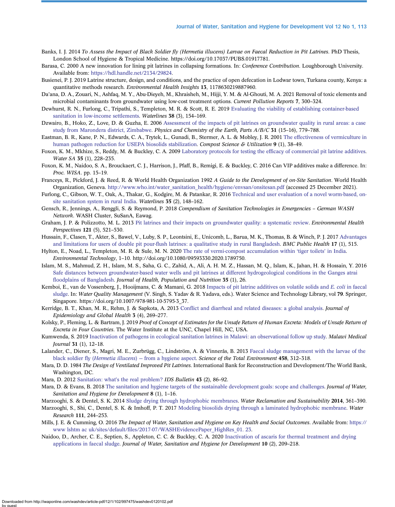- <span id="page-12-0"></span>Banks, I. J. 2014 To Assess the Impact of Black Soldier fly (Hermetia illucens) Larvae on Faecal Reduction in Pit Latrines. PhD Thesis, London School of Hygiene & Tropical Medicine. https://doi.org/10.17037/PUBS.01917781.
- Barasa, C. 2000 A new innovation for lining pit latrines in collapsing formations. In: Conference Contribution. Loughborough University. Available from: <https://hdl.handle.net/2134/29824>.
- Busienei, P. J. 2019 Latrine structure, design, and conditions, and the practice of open defecation in Lodwar town, Turkana county, Kenya: a quantitative methods research. Environmental Health Insights 13, 1178630219887960.
- Da'ana, D. A., Zouari, N., Ashfaq, M. Y., Abu-Dieyeh, M., Khraisheh, M., Hijji, Y. M. & Al-Ghouti, M. A. 2021 Removal of toxic elements and microbial contaminants from groundwater using low-cost treatment options. Current Pollution Reports 7, 300–324.
- Dewhurst, R. N., Furlong, C., Tripathi, S., Templeton, M. R. & Scott, R. E. 2019 [Evaluating the viability of establishing container-based](http://dx.doi.org/10.3362/1756-3488.18-00027) [sanitation in low-income settlements.](http://dx.doi.org/10.3362/1756-3488.18-00027) Waterlines 38 (3), 154–169.
- Dzwairo, B., Hoko, Z., Love, D. & Guzha, E. 2006 [Assessment of the impacts of pit latrines on groundwater quality in rural areas: a case](http://dx.doi.org/10.1016/j.pce.2006.08.031) [study from Marondera district, Zimbabwe.](http://dx.doi.org/10.1016/j.pce.2006.08.031) Physics and Chemistry of the Earth, Parts A/B/C 31 (15-16), 779-788.
- Eastman, B. R., Kane, P. N., Edwards, C. A., Trytek, L., Gunadi, B., Stermer, A. L. & Mobley, J. R. 2001 [The effectiveness of vermiculture in](http://dx.doi.org/10.1080/1065657X.2001.10702015) [human pathogen reduction for USEPA biosolids stabilization.](http://dx.doi.org/10.1080/1065657X.2001.10702015) Compost Science & Utilization 9 (1), 38–49.
- Foxon, K. M., Mkhize, S., Reddy, M. & Buckley, C. A. 2009 Laboratory protocols for testing the effi[cacy of commercial pit latrine additives.](http://dx.doi.org/10.4314/wsa.v35i2.76759) Water SA 35 (1), 228-235.
- Foxon, K. M., Naidoo, S. A., Brouckaert, C. J., Harrison, J., Pfaff, B., Remigi, E. & Buckley, C. 2016 Can VIP additives make a difference. In: Proc. WISA. pp. 15–19.
- Franceys, R., Pickford, J. & Reed, R. & World Health Organization 1992 A Guide to the Development of on-Site Sanitation. World Health Organization, Geneva. [http://www.who.int/water\\_sanitation\\_health/hygiene/envsan/onsitesan.pdf](https://www.who.int/water_sanitation_health/hygiene/envsan/onsitesan.pdf) (accessed 25 December 2021).
- Furlong, C., Gibson, W. T., Oak, A., Thakar, G., Kodgire, M. & Patankar, R. 2016 [Technical and user evaluation of a novel worm-based, on](http://dx.doi.org/10.3362/1756-3488.2016.013)[site sanitation system in rural India](http://dx.doi.org/10.3362/1756-3488.2016.013). Waterlines 35 (2), 148–162.
- Gensch, R., Jennings, A., Renggli, S. & Reymond, P. 2018 Compendium of Sanitation Technologies in Emergencies German WASH Network. WASH Cluster, SuSanA, Eawag.
- Graham, J. P. & Polizzotto, M. L. 2013 [Pit latrines and their impacts on groundwater quality: a systematic review](http://dx.doi.org/10.1289/ehp.1206028). *Environmental Health* Perspectives 121 (5), 521–530.
- Hussain, F., Clasen, T., Akter, S., Bawel, V., Luby, S. P., Leontsini, E., Unicomb, L., Barua, M. K., Thomas, B. & Winch, P. J. 2017 [Advantages](http://dx.doi.org/10.1186/s12889-017-4412-7) and limitations for users of double pit pour-fl[ush latrines: a qualitative study in rural Bangladesh.](http://dx.doi.org/10.1186/s12889-017-4412-7) BMC Public Health 17 (1), 515.

Hylton, E., Noad, L., Templeton, M. R. & Sule, M. N. 2020 [The rate of vermi-compost accumulation within](http://dx.doi.org/10.1080/09593330.2020.1789750) 'tiger toilets' in India. Environmental Technology, 1–10. http://doi.org/10.1080/09593330.2020.1789750.

- Islam, M. S., Mahmud, Z. H., Islam, M. S., Saha, G. C., Zahid, A., Ali, A. H. M. Z., Hassan, M. Q., Islam, K., Jahan, H. & Hossain, Y. 2016 [Safe distances between groundwater-based water wells and pit latrines at different hydrogeological conditions in the Ganges atrai](http://dx.doi.org/10.1186/s41043-016-0063-z) fl[oodplains of Bangladesh.](http://dx.doi.org/10.1186/s41043-016-0063-z) Journal of Health, Population and Nutrition 35 (1), 26.
- Kemboi, E., van de Vossenberg, J., Hooijmans, C. & Mamani, G. 2018 [Impacts of pit latrine additives on volatile solids and](http://dx.doi.org/10.1007/978-981-10-5795-3_37) E. coli in faecal [sludge.](http://dx.doi.org/10.1007/978-981-10-5795-3_37) In: Water Quality Management (V. Singh, S. Yadav & R. Yadava, eds.). Water Science and Technology Library, vol 79. Springer, Singapore. https://doi.org/10.1007/978-981-10-5795-3\_37.
- Kerridge, B. T., Khan, M. R., Rehm, J. & Sapkota, A. 2013 Confl[ict and diarrheal and related diseases: a global analysis.](http://dx.doi.org/10.1016/j.jegh.2013.05.002) Journal of Epidemiology and Global Health 3 (4), 269–277.
- Kolsky, P., Fleming, L. & Bartram, J. 2019 Proof of Concept of Estimates for the Unsafe Return of Human Excreta: Models of Unsafe Return of Excreta in Four Countries. The Water Institute at the UNC, Chapel Hill, NC, USA.
- Kumwenda, S. 2019 [Inactivation of pathogens in ecological sanitation latrines in Malawi: an observational follow up study](http://dx.doi.org/10.4314/mmj.v31i1.3). Malawi Medical Journal 31 (1), 12–18.
- Lalander, C., Diener, S., Magri, M. E., Zurbrügg, C., Lindström, A. & Vinnerås, B. 2013 [Faecal sludge management with the larvae of the](http://dx.doi.org/10.1016/j.scitotenv.2013.04.033) black soldier fly (Hermetia illucens) — [from a hygiene aspect](http://dx.doi.org/10.1016/j.scitotenv.2013.04.033). Science of the Total Environment 458, 312–318.
- Mara, D. D. 1984 The Design of Ventilated Improved Pit Latrines. International Bank for Reconstruction and Development/The World Bank, Washington, DC.
- Mara, D. 2012 Sanitation: what'[s the real problem?](http://dx.doi.org/10.1111/j.1759-5436.2012.00311.x) IDS Bulletin 43 (2), 86-92.
- Mara, D. & Evans, B. 2018 [The sanitation and hygiene targets of the sustainable development goals: scope and challenges.](http://dx.doi.org/10.2166/washdev.2017.048) Journal of Water, Sanitation and Hygiene for Development 8 (1), 1–16.
- Marzooghi, S. & Dentel, S. K. 2014 [Sludge drying through hydrophobic membranes](http://dx.doi.org/10.1016/B978-0-12-411645-0.00015-8). Water Reclamation and Sustainability 2014, 361-390.
- Marzooghi, S., Shi, C., Dentel, S. K. & Imhoff, P. T. 2017 [Modeling biosolids drying through a laminated hydrophobic membrane.](http://dx.doi.org/10.1016/j.watres.2016.12.049) Water Research 111, 244–253.
- Mills, J. E. & Cumming, O. 2016 The Impact of Water, Sanitation and Hygiene on Key Health and Social Outcomes. Available from: [https://](https://www lshtm ac uk/sites/default/files/2017-07/WASHEvidencePaper_HighRes_01. 23) www lshtm ac uk/sites/default/fi[les/2017-07/WASHEvidencePaper\\_HighRes\\_01. 23.](https://www lshtm ac uk/sites/default/files/2017-07/WASHEvidencePaper_HighRes_01. 23)
- Naidoo, D., Archer, C. E., Septien, S., Appleton, C. C. & Buckley, C. A. 2020 [Inactivation of ascaris for thermal treatment and drying](http://dx.doi.org/10.2166/washdev.2020.119) [applications in faecal sludge](http://dx.doi.org/10.2166/washdev.2020.119). Journal of Water, Sanitation and Hygiene for Development 10 (2), 209–218.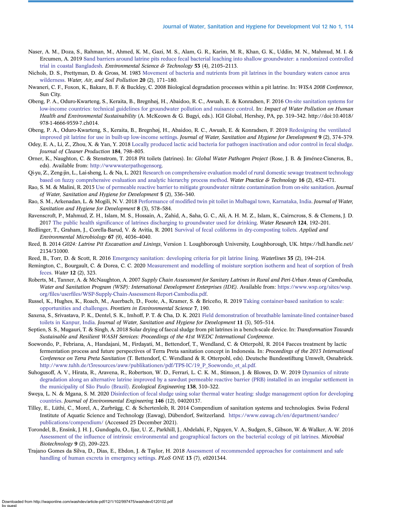- <span id="page-13-0"></span>Naser, A. M., Doza, S., Rahman, M., Ahmed, K. M., Gazi, M. S., Alam, G. R., Karim, M. R., Khan, G. K., Uddin, M. N., Mahmud, M. I. & Ercumen, A. 2019 [Sand barriers around latrine pits reduce fecal bacterial leaching into shallow groundwater: a randomized controlled](http://dx.doi.org/10.1021/acs.est.8b04950) [trial in coastal Bangladesh.](http://dx.doi.org/10.1021/acs.est.8b04950) Environmental Science & Technology 53 (4), 2105–2113.
- Nichols, D. S., Prettyman, D. & Gross, M. 1983 [Movement of bacteria and nutrients from pit latrines in the boundary waters canoe area](http://dx.doi.org/10.1007/BF00279627) [wilderness](http://dx.doi.org/10.1007/BF00279627). Water, Air, and Soil Pollution 20 (2), 171–180.
- Nwaneri, C. F., Foxon, K., Bakare, B. F. & Buckley, C. 2008 Biological degradation processes within a pit latrine. In: WISA 2008 Conference, Sun City.
- Obeng, P. A., Oduro-Kwarteng, S., Keraita, B., Bregnhøj, H., Abaidoo, R. C., Awuah, E. & Konradsen, F. 2016 [On-site sanitation systems for](http://dx.doi.org/10.4018/978-1-4666-9559-7.ch014) [low-income countries: technical guidelines for groundwater pollution and nuisance control.](http://dx.doi.org/10.4018/978-1-4666-9559-7.ch014) In: Impact of Water Pollution on Human Health and Environmental Sustainability (A. McKeown & G. Bugyi, eds.). IGI Global, Hershey, PA, pp. 319–342. http://doi:10.4018/ 978-1-4666-9559-7.ch014.
- Obeng, P. A., Oduro-Kwarteng, S., Keraita, B., Bregnhøj, H., Abaidoo, R. C., Awuah, E. & Konradsen, F. 2019 [Redesigning the ventilated](http://dx.doi.org/10.2166/washdev.2019.098) [improved pit latrine for use in built-up low-income settings](http://dx.doi.org/10.2166/washdev.2019.098). Journal of Water, Sanitation and Hygiene for Development 9 (2), 374–379.
- Odey, E. A., Li, Z., Zhou, X. & Yan, Y. 2018 [Locally produced lactic acid bacteria for pathogen inactivation and odor control in fecal sludge](http://dx.doi.org/10.1016/j.jclepro.2018.02.276). Journal of Cleaner Production 184, 798–805.
- Orner, K., Naughton, C. & Stenstrom, T. 2018 Pit toilets (latrines). In: Global Water Pathogen Project (Rose, J. B. & Jiménez-Cisneros, B., eds). Available from: [http://wwwwaterpathogensorg.](http://wwwwaterpathogensorg)
- Qi-yu, Z., Zeng-jin, L., Lai-sheng, L. & Na, L. 2021 [Research on comprehensive evaluation model of rural domestic sewage treatment technology](http://dx.doi.org/10.2166/wpt.2021.003) [based on fuzzy comprehensive evaluation and analytic hierarchy process method.](http://dx.doi.org/10.2166/wpt.2021.003) Water Practice  $\&$  Technology 16 (2), 452–471.
- Rao, S. M. & Malini, R. 2015 [Use of permeable reactive barrier to mitigate groundwater nitrate contamination from on-site sanitation.](http://dx.doi.org/10.2166/washdev.2015.159) Journal of Water, Sanitation and Hygiene for Development 5 (2), 336–340.
- Rao, S. M., Arkenadan, L. & Mogili, N. V. 2018 Performance of modifi[ed twin pit toilet in Mulbagal town, Karnataka, India.](http://dx.doi.org/10.2166/washdev.2018.159) Journal of Water, Sanitation and Hygiene for Development 8 (3), 578–584.
- Ravenscroft, P., Mahmud, Z. H., Islam, M. S., Hossain, A., Zahid, A., Saha, G. C., Ali, A. H. M. Z., Islam, K., Cairncross, S. & Clemens, J. D. 2017 The public health signifi[cance of latrines discharging to groundwater used for drinking](http://dx.doi.org/10.1016/j.watres.2017.07.049). Water Research 124, 192–201.
- Redlinger, T., Graham, J., Corella-Barud, V. & Avitia, R. 2001 [Survival of fecal coliforms in dry-composting toilets](http://dx.doi.org/10.1128/AEM.67.9.4036-4040.2001). Applied and Environmental Microbiology 67 (9), 4036–4040.
- Reed, B. 2014 G024: Latrine Pit Excavation and Linings, Version 1. Loughborough University, Loughborough, UK. https://hdl.handle.net/ 2134/31000.
- Reed, B., Torr, D. & Scott, R. 2016 [Emergency sanitation: developing criteria for pit latrine lining](http://dx.doi.org/10.3362/1756-3488.2016.016). Waterlines 35 (2), 194–214.
- Remington, C., Bourgault, C. & Dorea, C. C. 2020 [Measurement and modelling of moisture sorption isotherm and heat of sorption of fresh](http://dx.doi.org/10.3390/w12020323) [feces](http://dx.doi.org/10.3390/w12020323). Water 12 (2), 323.
- Roberts, M., Tanner, A. & McNaughton, A. 2007 Supply Chain Assessment for Sanitary Latrines in Rural and Peri-Urban Areas of Cambodia, Water and Sanitation Program (WSP): International Development Enterprises (IDE). Available from: [https://www.wsp.org/sites/wsp.](https://www.wsp.org/sites/wsp.org/files/userfiles/WSP-Supply-Chain-Assessment-Report-Cambodia.pdf) org/files/userfi[les/WSP-Supply-Chain-Assessment-Report-Cambodia.pdf.](https://www.wsp.org/sites/wsp.org/files/userfiles/WSP-Supply-Chain-Assessment-Report-Cambodia.pdf)
- Russel, K., Hughes, K., Roach, M., Auerbach, D., Foote, A., Kramer, S. & Briceño, R. 2019 [Taking container-based sanitation to scale:](http://dx.doi.org/10.3389/fenvs.2019.00190) [opportunities and challenges.](http://dx.doi.org/10.3389/fenvs.2019.00190) Frontiers in Environmental Science 7, 190.
- Saxena, S., Srivastava, P. K., Dentel, S. K., Imhoff, P. T. & Cha, D. K. 2021 [Field demonstration of breathable laminate-lined container-based](http://dx.doi.org/10.2166/washdev.2021.011) [toilets in Kanpur, India](http://dx.doi.org/10.2166/washdev.2021.011). Journal of Water, Sanitation and Hygiene for Development 11 (3), 505-514.
- Septien, S. S., Mugauri, T. & Singh, A. 2018 Solar drying of faecal sludge from pit latrines in a bench-scale device. In: Transformation Towards Sustainable and Resilient WASH Services: Proceedings of the 41st WEDC International Conference.
- Soewondo, P., Febriana, A., Handajani, M., Firdayati, M., Bettendorf, T., Wendland, C. & Otterpohl, R. 2014 Faeces treatment by lactic fermentation process and future perspectives of Terra Preta sanitation concept in Indonesia. In: Proceedings of the 2013 International Conference on Terra Preta Sanitation (T. Bettendorf, C. Wendland & R. Otterpohl, eds). Deutsche Bundesstiftung Umwelt, Osnabrück. [http://www.tuhh.de/t3resources/aww/publikationen/pdf/TPS-IC/19\\_P\\_Soewondo\\_et\\_al.pdf.](https://www.tuhh.de/t3resources/aww/publikationen/pdf/TPS-IC/19_P_Soewondo_et_al.pdf)
- Suhogusoff, A. V., Hirata, R., Aravena, R., Robertson, W. D., Ferrari, L. C. K. M., Stimson, J. & Blowes, D. W. 2019 [Dynamics of nitrate](http://dx.doi.org/10.1016/j.ecoleng.2019.08.001) [degradation along an alternative latrine improved by a sawdust permeable reactive barrier \(PRB\) installed in an irregular settlement in](http://dx.doi.org/10.1016/j.ecoleng.2019.08.001) [the municipality of São Paulo \(Brazil\).](http://dx.doi.org/10.1016/j.ecoleng.2019.08.001) Ecological Engineering 138, 310–322.
- Sweya, L. N. & Mgana, S. M. 2020 [Disinfection of fecal sludge using solar thermal water heating: sludge management option for developing](http://dx.doi.org/10.1061/(ASCE)EE.1943-7870.0001828) [countries.](http://dx.doi.org/10.1061/(ASCE)EE.1943-7870.0001828) Journal of Environmental Engineering 146 (12), 04020137.
- Tilley, E., Lüthi, C., Morel, A., Zurbrügg, C. & Schertenleib, R. 2014 Compendium of sanitation systems and technologies. Swiss Federal Institute of Aquatic Science and Technology (Eawag), Dübendorf, Switzerland. [https://www.eawag.ch/en/department/sandec/](http://www.eawag.ch/en/department/sandec/publications/compendium/) [publications/compendium/](http://www.eawag.ch/en/department/sandec/publications/compendium/) (Accessed 25 December 2021).
- Torondel, B., Ensink, J. H. J., Gundogdu, O., Ijaz, U. Z., Parkhill, J., Abdelahi, F., Nguyen, V. A., Sudgen, S., Gibson, W. & Walker, A. W. 2016 Assessment of the infl[uence of intrinsic environmental and geographical factors on the bacterial ecology of pit latrines](http://dx.doi.org/10.1111/1751-7915.12334). Microbial Biotechnology 9 (2), 209–223.
- Trajano Gomes da Silva, D., Dias, E., Ebdon, J. & Taylor, H. 2018 [Assessment of recommended approaches for containment and safe](http://dx.doi.org/10.1371/journal.pone.0201344) [handling of human excreta in emergency settings.](http://dx.doi.org/10.1371/journal.pone.0201344) PLoS ONE 13 (7), e0201344.

Downloaded from http://iwaponline.com/washdev/article-pdf/12/1/102/997475/washdev0120102.pd by guest